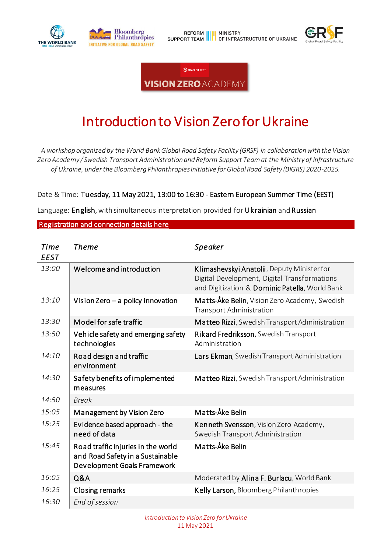





# Introduction to Vision Zero for Ukraine

*A workshop organized by the World Bank Global Road Safety Facility (GRSF) in collaboration with the Vision Zero Academy / Swedish Transport Administration and Reform Support Team at the Ministry of Infrastructure of Ukraine, under the Bloomberg Philanthropies Initiative for Global Road Safety (BIGRS) 2020-2025.*

Date & Time: Tuesday, 11 May 2021, 13:00 to 16:30 - Eastern European Summer Time (EEST)

Language: English, with simultaneous interpretation provided for Ukrainian and Russian

### [Registration and connection details here](https://worldbankgroup.zoom.us/meeting/register/tJYkdeivqzMuGtDHXWYS3qoXY7oLiVKys8Za)

| Time<br><b>EEST</b> | Theme                                                                                                 | Speaker                                                                                                                                       |
|---------------------|-------------------------------------------------------------------------------------------------------|-----------------------------------------------------------------------------------------------------------------------------------------------|
| 13:00               | Welcome and introduction                                                                              | Klimashevskyi Anatolii, Deputy Minister for<br>Digital Development, Digital Transformations<br>and Digitization & Dominic Patella, World Bank |
| 13:10               | Vision Zero - a policy innovation                                                                     | Matts-Åke Belin, Vision Zero Academy, Swedish<br><b>Transport Administration</b>                                                              |
| 13:30               | Model for safe traffic                                                                                | Matteo Rizzi, Swedish Transport Administration                                                                                                |
| 13:50               | Vehicle safety and emerging safety<br>technologies                                                    | Rikard Fredriksson, Swedish Transport<br>Administration                                                                                       |
| 14:10               | Road design and traffic<br>environment                                                                | Lars Ekman, Swedish Transport Administration                                                                                                  |
| 14:30               | Safety benefits of implemented<br>measures                                                            | Matteo Rizzi, Swedish Transport Administration                                                                                                |
| 14:50               | <b>Break</b>                                                                                          |                                                                                                                                               |
| 15:05               | Management by Vision Zero                                                                             | Matts-Åke Belin                                                                                                                               |
| 15:25               | Evidence based approach - the<br>need of data                                                         | Kenneth Svensson, Vision Zero Academy,<br>Swedish Transport Administration                                                                    |
| 15:45               | Road traffic injuries in the world<br>and Road Safety in a Sustainable<br>Development Goals Framework | Matts-Åke Belin                                                                                                                               |
| 16:05               | <b>Q&amp;A</b>                                                                                        | Moderated by Alina F. Burlacu, World Bank                                                                                                     |
| 16:25               | <b>Closing remarks</b>                                                                                | Kelly Larson, Bloomberg Philanthropies                                                                                                        |
| 16:30               | End of session                                                                                        |                                                                                                                                               |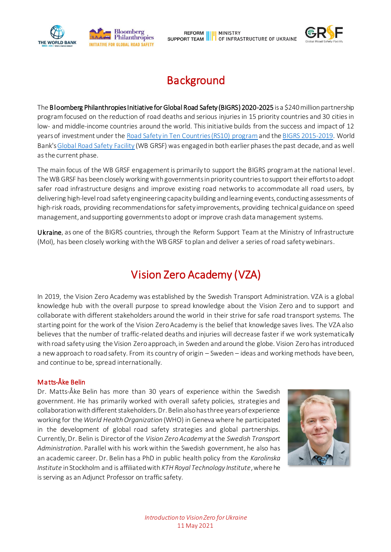



## **Background**

The Bloomberg Philanthropies Initiative for Global Road Safety (BIGRS) 2020-2025 is a \$240 million partnership program focused on the reduction of road deaths and serious injuries in 15 priority countries and 30 cities in low- and middle-income countries around the world. This initiative builds from the success and impact of 12 years of investment under the [Road Safety in Ten Countries \(RS10\) program](https://www.who.int/violence_injury_prevention/road_traffic/countrywork/rs10_2012.pdf?ua=1)and the [BIGRS 2015-2019.](http://documents1.worldbank.org/curated/en/834811580460586635/pdf/Bloomberg-Philanthropies-Initiative-for-Global-Road-Safety-Key-Outcomes-from-WB-GRSF-s-Engagement-in-BIGRS-2015-2019.pdf) World Bank'[s Global Road Safety Facility](https://www.roadsafetyfacility.org/) (WB GRSF) was engaged in both earlier phases the past decade, and as well as the current phase.

The main focus of the WB GRSF engagement is primarily to support the BIGRS program at the national level. The WB GRSF has been closely working with governments in priority countries to support their efforts to adopt safer road infrastructure designs and improve existing road networks to accommodate all road users, by delivering high-level road safety engineering capacity building and learning events, conducting assessments of high-risk roads, providing recommendations for safety improvements, providing technical guidance on speed management, and supporting governments to adopt or improve crash data management systems.

Ukraine, as one of the BIGRS countries, through the Reform Support Team at the Ministry of Infrastructure (MoI), has been closely working with the WB GRSF to plan and deliver a series of road safety webinars.

## Vision Zero Academy (VZA)

In 2019, the Vision Zero Academy was established by the Swedish Transport Administration. VZA is a global knowledge hub with the overall purpose to spread knowledge about the Vision Zero and to support and collaborate with different stakeholders around the world in their strive for safe road transport systems. The starting point for the work of the Vision Zero Academy is the belief that knowledge saves lives. The VZA also believes that the number of traffic-related deaths and injuries will decrease faster if we work systematically with road safety using the Vision Zero approach, in Sweden and around the globe. Vision Zero has introduced a new approach to road safety. From its country of origin – Sweden – ideas and working methods have been, and continue to be, spread internationally.

### Matts-Åke Belin

Dr. Matts-Åke Belin has more than 30 years of experience within the Swedish government. He has primarily worked with overall safety policies, strategies and collaboration with different stakeholders. Dr. Belin also has three years of experience working for the *World Health Organization* (WHO) in Geneva where he participated in the development of global road safety strategies and global partnerships. Currently, Dr. Belin is Director of the *Vision Zero Academy* at the *Swedish Transport Administration*. Parallel with his work within the Swedish government, he also has an academic career. Dr. Belin has a PhD in public health policy from the *Karolinska Institute* in Stockholm and is affiliated with *KTH Royal Technology Institute*, where he is serving as an Adjunct Professor on traffic safety.